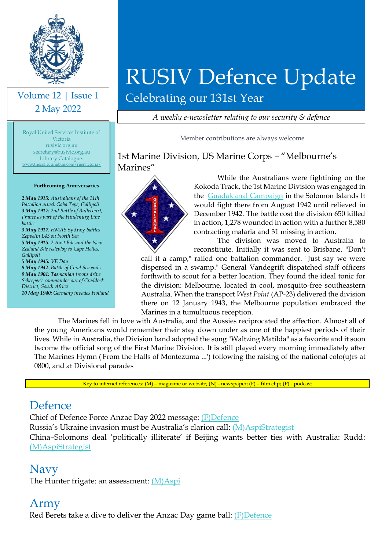

#### Volume 12 | Issue 1 2 May 2022

Royal United Services Institute of Victoria rusivic.org.au [secretary@rusivic.org.au](mailto:secretary@rusivic.org.au) Library Catalogue: [www.thecollectingbug.com/rusivictoria/](http://www.thecollectingbug.com/rusivictoria/)

#### **Forthcoming Anniversaries**

*2 May 1915: Australians of the 11th Battalion attack Gaba Tepe, Gallipoli 3 May 1917: 2nd Battle of Bullecourt, France as part of the Hindenurg Line battles 3 May 1917: HMAS* Sydney *battles Zeppelin L43 on North Sea 5 May 1915: 2 Aust Bde and the New Zealand Bde redeploy to Cape Helles, Gallipoli 5 May 1945: VE Day 8 May 1942: Battle of Coral Sea ends 9 May 1901: Tasmanian troops drive Scheeper's commandos out of Craddock District, South Africa*

*10 May 1940: Germany invades Holland* 

# RUSIV Defence Update

Celebrating our 131st Year

*A weekly e-newsletter relating to our security & defence*

Member contributions are always welcome

1st Marine Division, US Marine Corps – "Melbourne's Marines"



While the Australians were fightining on the Kokoda Track, the 1st Marine Division was engaged in the [Guadalcanal Campaign](https://en.wikipedia.org/wiki/Guadalcanal_Campaign) in the Solomon Islands It would fight there from August 1942 until relieved in December 1942. The battle cost the division 650 killed in action, 1,278 wounded in action with a further 8,580 contracting malaria and 31 missing in action.

The division was moved to Australia to reconstitute. Initially it was sent to Brisbane. "Don't

call it a camp," railed one battalion commander. "Just say we were dispersed in a swamp." General Vandegrift dispatched staff officers forthwith to scout for a better location. They found the ideal tonic for the division: Melbourne, located in cool, mosquito-free southeastern Australia. When the transport *West Point* (AP-23) delivered the division there on 12 January 1943, the Melbourne population embraced the Marines in a tumultuous reception.

The Marines fell in love with Australia, and the Aussies reciprocated the affection. Almost all of the young Americans would remember their stay down under as one of the happiest periods of their lives. While in Australia, the Division band adopted the song "Waltzing Matilda" as a favorite and it soon become the official song of the First Marine Division. It is still played every morning immediately after The Marines Hymn ('From the Halls of Montezuma ...') following the raising of the national colo(u)rs at 0800, and at Divisional parades

Key to internet references: (M) – magazine or website; (N) - newspaper; (F) – film clip; (P) - podcast

#### Defence

Chief of Defence Force Anzac Day 2022 message: [\(F\)Defence](https://www.youtube.com/watch?v=z1NuEmYRpIs)

Russia's Ukraine invasion must be Australia's clarion call: [\(M\)AspiStrategist](https://www.aspistrategist.org.au/russias-ukraine-invasion-must-be-australias-clarion-call/?utm_medium=email&utm_campaign=Daily%20The%20Strategist&utm_content=Daily%20The%20Strategist+CID_8ddc9b7e6bf645de6c3b3b05c8be4282&utm_source=CampaignMonitor&utm_term=Russias%20Ukraine%20invasion%20must%20be%20Australias%20clarion%20call)

China–Solomons deal 'politically illiterate' if Beijing wants better ties with Australia: Rudd: [\(M\)AspiStrategist](https://www.aspistrategist.org.au/china-solomons-deal-politically-illiterate-if-beijing-wants-better-ties-with-australia-rudd/?utm_medium=email&utm_campaign=Daily%20The%20Strategist&utm_content=Daily%20The%20Strategist+CID_69b947327cf8bedd0d3c7c1d3f419f18&utm_source=CampaignMonitor&utm_term=ChinaSolomons%20deal%20politically%20illiterate%20if%20Beijing%20wants%20better%20ties%20with%20Australia%20Rudd)

#### Navy

The Hunter frigate: an assessment: [\(M\)Aspi](https://www.aspi.org.au/report/hunter-frigate-assessment?utm_medium=email&utm_campaign=Publication%20Alert%20The%20Hunter%20Frigate%20-%20An%20assessment&utm_content=Publication%20Alert%20The%20Hunter%20Frigate%20-%20An%20assessment+CID_19059d5e064176a02a88251210762895&utm_source=CampaignMonitor&utm_term=Click%20here%20to%20read%20the%20report)

#### Army

Red Berets take a dive to deliver the Anzac Day game ball: [\(F\)Defence](https://www.youtube.com/watch?v=srU0mZbOJqk)